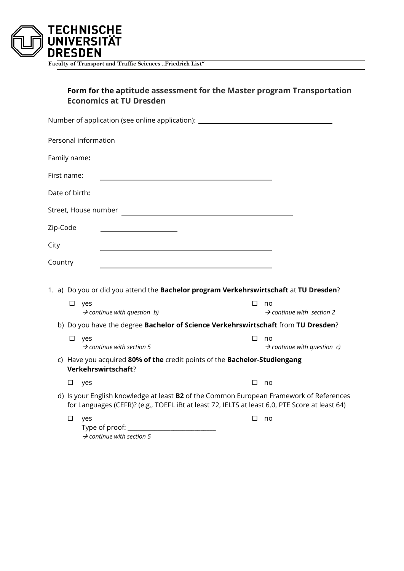

Faculty of Transport and Traffic Sciences "Friedrich List"

# **Form for the aptitude assessment for the Master program Transportation Economics at TU Dresden**

|                |        |                      | Number of application (see online application): ________________________________                                                                                                                 |  |   |    |                                         |  |
|----------------|--------|----------------------|--------------------------------------------------------------------------------------------------------------------------------------------------------------------------------------------------|--|---|----|-----------------------------------------|--|
|                |        | Personal information |                                                                                                                                                                                                  |  |   |    |                                         |  |
| Family name:   |        |                      |                                                                                                                                                                                                  |  |   |    |                                         |  |
| First name:    |        |                      |                                                                                                                                                                                                  |  |   |    |                                         |  |
| Date of birth: |        |                      | <u> 1989 - Johann Barbara, martxa alemaniar a</u>                                                                                                                                                |  |   |    |                                         |  |
|                |        |                      |                                                                                                                                                                                                  |  |   |    |                                         |  |
| Zip-Code       |        |                      |                                                                                                                                                                                                  |  |   |    |                                         |  |
| City           |        |                      |                                                                                                                                                                                                  |  |   |    |                                         |  |
| Country        |        |                      |                                                                                                                                                                                                  |  |   |    |                                         |  |
|                |        |                      | 1. a) Do you or did you attend the Bachelor program Verkehrswirtschaft at TU Dresden?                                                                                                            |  |   |    |                                         |  |
|                | □      | yes                  | $\rightarrow$ continue with question b)                                                                                                                                                          |  | П | no | $\rightarrow$ continue with section 2   |  |
|                |        |                      | b) Do you have the degree Bachelor of Science Verkehrswirtschaft from TU Dresden?                                                                                                                |  |   |    |                                         |  |
|                | $\Box$ | yes                  | $\rightarrow$ continue with section 5                                                                                                                                                            |  | □ | no | $\rightarrow$ continue with question c) |  |
|                |        |                      | c) Have you acquired 80% of the credit points of the Bachelor-Studiengang<br>Verkehrswirtschaft?                                                                                                 |  |   |    |                                         |  |
|                | $\Box$ | yes                  |                                                                                                                                                                                                  |  | □ | no |                                         |  |
|                |        |                      | d) Is your English knowledge at least <b>B2</b> of the Common European Framework of References<br>for Languages (CEFR)? (e.g., TOEFL iBt at least 72, IELTS at least 6.0, PTE Score at least 64) |  |   |    |                                         |  |
|                | $\Box$ | yes                  | $\rightarrow$ continue with section 5                                                                                                                                                            |  | □ | no |                                         |  |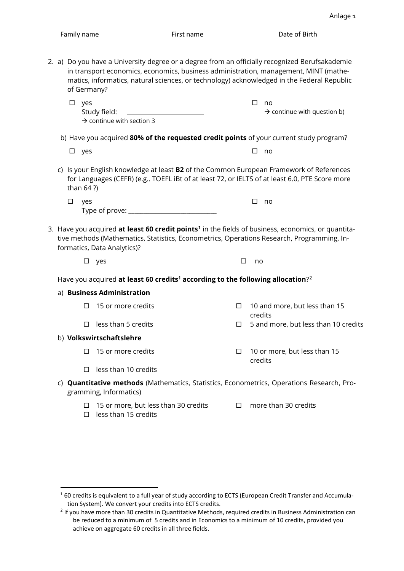|    | of Germany?   | 2. a) Do you have a University degree or a degree from an officially recognized Berufsakademie<br>in transport economics, economics, business administration, management, MINT (mathe-<br>matics, informatics, natural sciences, or technology) acknowledged in the Federal Republic |        |                                                    |
|----|---------------|--------------------------------------------------------------------------------------------------------------------------------------------------------------------------------------------------------------------------------------------------------------------------------------|--------|----------------------------------------------------|
|    | $\Box$<br>yes | Study field:<br>$\rightarrow$ continue with section 3                                                                                                                                                                                                                                |        | □<br>no<br>$\rightarrow$ continue with question b) |
|    |               | b) Have you acquired 80% of the requested credit points of your current study program?                                                                                                                                                                                               |        |                                                    |
|    | $\square$ yes |                                                                                                                                                                                                                                                                                      |        | □<br>no                                            |
|    | than 64 ?)    | c) Is your English knowledge at least <b>B2</b> of the Common European Framework of References<br>for Languages (CEFR) (e.g TOEFL iBt of at least 72, or IELTS of at least 6.0, PTE Score more                                                                                       |        |                                                    |
|    | $\Box$<br>yes |                                                                                                                                                                                                                                                                                      |        | □<br>no                                            |
|    |               | 3. Have you acquired <b>at least 60 credit points<sup>1</sup></b> in the fields of business, economics, or quantita-<br>tive methods (Mathematics, Statistics, Econometrics, Operations Research, Programming, In-<br>formatics, Data Analytics)?                                    |        |                                                    |
|    |               | $\square$ yes                                                                                                                                                                                                                                                                        | □      | no                                                 |
|    |               | Have you acquired at least 60 credits <sup>1</sup> according to the following allocation? <sup>2</sup>                                                                                                                                                                               |        |                                                    |
|    |               | a) Business Administration                                                                                                                                                                                                                                                           |        |                                                    |
|    | □             | 15 or more credits                                                                                                                                                                                                                                                                   | □      | 10 and more, but less than 15<br>credits           |
|    | □             | less than 5 credits                                                                                                                                                                                                                                                                  | $\Box$ | 5 and more, but less than 10 credits               |
|    |               | b) Volkswirtschaftslehre                                                                                                                                                                                                                                                             |        |                                                    |
|    | П             | 15 or more credits                                                                                                                                                                                                                                                                   | □      | 10 or more, but less than 15<br>credits            |
|    | □             | less than 10 credits                                                                                                                                                                                                                                                                 |        |                                                    |
| C) |               | <b>Quantitative methods</b> (Mathematics, Statistics, Econometrics, Operations Research, Pro-<br>gramming, Informatics)                                                                                                                                                              |        |                                                    |
|    | П<br>П        | 15 or more, but less than 30 credits<br>less than 15 credits                                                                                                                                                                                                                         | $\Box$ | more than 30 credits                               |

<span id="page-1-0"></span> <sup>1</sup> 60 credits is equivalent to a full year of study according to ECTS (European Credit Transfer and Accumulation System). We convert your credits into ECTS credits.

<span id="page-1-1"></span><sup>&</sup>lt;sup>2</sup> If you have more than 30 credits in Quantitative Methods, required credits in Business Administration can be reduced to a minimum of 5 credits and in Economics to a minimum of 10 credits, provided you achieve on aggregate 60 credits in all three fields.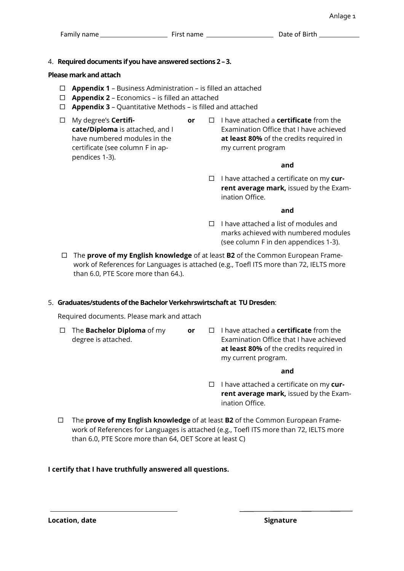# 4. **Required documents if you have answered sections 2 –3.**

# **Please mark and attach**

- **Appendix 1** Business Administration is filled an attached
- **Appendix 2** Economics is filled an attached
- **Appendix 3**  Quantitative Methods is filled and attached
- My degree's **Certificate/Diploma** is attached, and I have numbered modules in the certificate (see column F in appendices 1-3).
- **or**  $\Box$  I have attached a **certificate** from the Examination Office that I have achieved **at least 80%** of the credits required in my current program

## **and**

□ I have attached a certificate on my **current average mark,** issued by the Examination Office.

## **and**

- $\Box$  I have attached a list of modules and marks achieved with numbered modules (see column F in den appendices 1-3).
- The **prove of my English knowledge** of at least **B2** of the Common European Framework of References for Languages is attached (e.g., Toefl ITS more than 72, IELTS more than 6.0, PTE Score more than 64.).

# 5. **Graduates/students of the Bachelor Verkehrswirtschaft at TU Dresden**:

Required documents. Please mark and attach

- The **Bachelor Diploma** of my degree is attached.
- **or** □ I have attached a **certificate** from the Examination Office that I have achieved **at least 80%** of the credits required in my current program.

### **and**

- I have attached a certificate on my **current average mark,** issued by the Examination Office.
- The **prove of my English knowledge** of at least **B2** of the Common European Framework of References for Languages is attached (e.g., Toefl ITS more than 72, IELTS more than 6.0, PTE Score more than 64, OET Score at least C)

# **I certify that I have truthfully answered all questions.**

**Location, date Signature**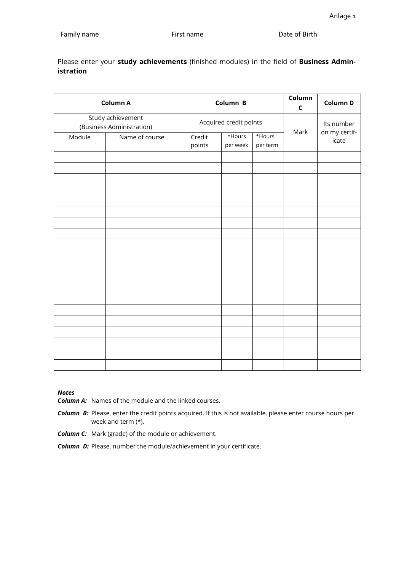Please enter your **study achievements** (finished modules) in the field of **Business Administration**

|                                                | Column A       |                        | Column B           | Column<br>$\mathsf{C}$      | Column D |       |
|------------------------------------------------|----------------|------------------------|--------------------|-----------------------------|----------|-------|
| Study achievement<br>(Business Administration) |                | Acquired credit points | Mark               | Its number<br>on my certif- |          |       |
| Module                                         | Name of course | Credit<br>points       | *Hours<br>per week | *Hours<br>per term          |          | icate |
|                                                |                |                        |                    |                             |          |       |
|                                                |                |                        |                    |                             |          |       |
|                                                |                |                        |                    |                             |          |       |
|                                                |                |                        |                    |                             |          |       |
|                                                |                |                        |                    |                             |          |       |
|                                                |                |                        |                    |                             |          |       |
|                                                |                |                        |                    |                             |          |       |
|                                                |                |                        |                    |                             |          |       |
|                                                |                |                        |                    |                             |          |       |
|                                                |                |                        |                    |                             |          |       |
|                                                |                |                        |                    |                             |          |       |
|                                                |                |                        |                    |                             |          |       |
|                                                |                |                        |                    |                             |          |       |

#### *Notes*

- *Column A:* Names of the module and the linked courses.
- *Column B:* Please, enter the credit points acquired. If this is not available, please enter course hours per week and term (\*).
- *Column C:* Mark (grade) of the module or achievement.
- *Column D:* Please, number the module/achievement in your certificate.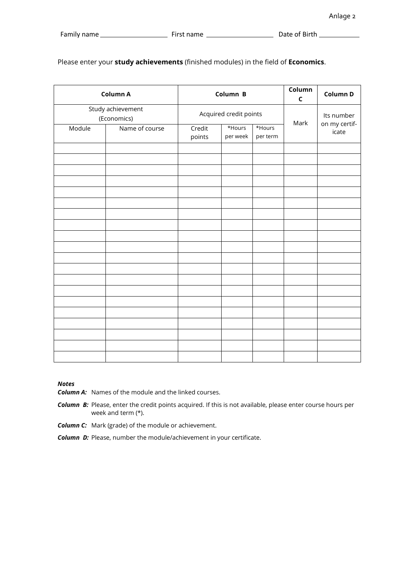|        | Column A                         |                  | Column B               | Column<br>$\mathsf C$ | Column D                    |       |
|--------|----------------------------------|------------------|------------------------|-----------------------|-----------------------------|-------|
|        | Study achievement<br>(Economics) |                  | Acquired credit points | Mark                  | Its number<br>on my certif- |       |
| Module | Name of course                   | Credit<br>points | *Hours<br>per week     | *Hours<br>per term    |                             | icate |
|        |                                  |                  |                        |                       |                             |       |
|        |                                  |                  |                        |                       |                             |       |
|        |                                  |                  |                        |                       |                             |       |
|        |                                  |                  |                        |                       |                             |       |
|        |                                  |                  |                        |                       |                             |       |
|        |                                  |                  |                        |                       |                             |       |
|        |                                  |                  |                        |                       |                             |       |
|        |                                  |                  |                        |                       |                             |       |
|        |                                  |                  |                        |                       |                             |       |
|        |                                  |                  |                        |                       |                             |       |
|        |                                  |                  |                        |                       |                             |       |
|        |                                  |                  |                        |                       |                             |       |
|        |                                  |                  |                        |                       |                             |       |

Please enter your **study achievements** (finished modules) in the field of **Economics**.

#### *Notes*

- *Column A:* Names of the module and the linked courses.
- *Column B:* Please, enter the credit points acquired. If this is not available, please enter course hours per week and term (\*).
- *Column C:* Mark (grade) of the module or achievement.
- *Column D:* Please, number the module/achievement in your certificate.